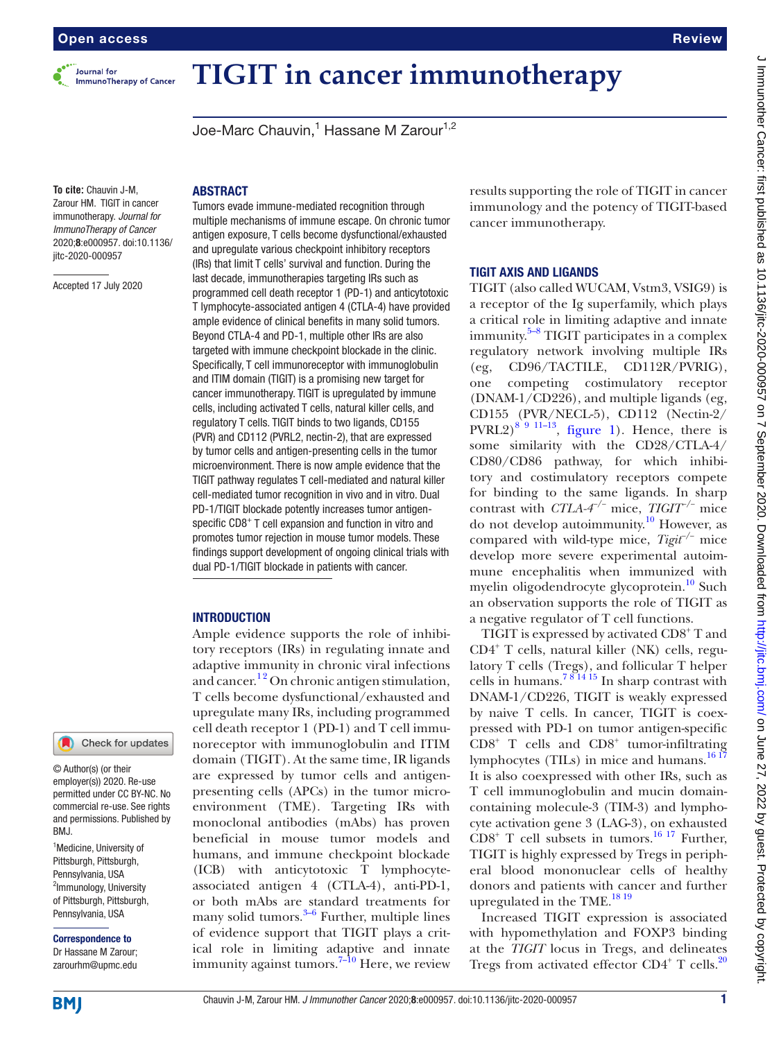

# **TIGIT in cancer immunotherapy**

Joe-Marc Chauvin,<sup>1</sup> Hassane M Zarour<sup>1,2</sup>

**To cite:** Chauvin J-M, Zarour HM. TIGIT in cancer immunotherapy. *Journal for ImmunoTherapy of Cancer* 2020;8:e000957. doi:10.1136/ jitc-2020-000957

Accepted 17 July 2020

#### ABSTRACT

Tumors evade immune-mediated recognition through multiple mechanisms of immune escape. On chronic tumor antigen exposure, T cells become dysfunctional/exhausted and upregulate various checkpoint inhibitory receptors (IRs) that limit T cells' survival and function. During the last decade, immunotherapies targeting IRs such as programmed cell death receptor 1 (PD-1) and anticytotoxic T lymphocyte-associated antigen 4 (CTLA-4) have provided ample evidence of clinical benefits in many solid tumors. Beyond CTLA-4 and PD-1, multiple other IRs are also targeted with immune checkpoint blockade in the clinic. Specifically, T cell immunoreceptor with immunoglobulin and ITIM domain (TIGIT) is a promising new target for cancer immunotherapy. TIGIT is upregulated by immune cells, including activated T cells, natural killer cells, and regulatory T cells. TIGIT binds to two ligands, CD155 (PVR) and CD112 (PVRL2, nectin-2), that are expressed by tumor cells and antigen-presenting cells in the tumor microenvironment. There is now ample evidence that the TIGIT pathway regulates T cell-mediated and natural killer cell-mediated tumor recognition in vivo and in vitro. Dual PD-1/TIGIT blockade potently increases tumor antigenspecific CD8<sup>+</sup> T cell expansion and function in vitro and promotes tumor rejection in mouse tumor models. These findings support development of ongoing clinical trials with dual PD-1/TIGIT blockade in patients with cancer.

## **INTRODUCTION**

Ample evidence supports the role of inhibitory receptors (IRs) in regulating innate and adaptive immunity in chronic viral infections and cancer.<sup>12</sup> On chronic antigen stimulation, T cells become dysfunctional/exhausted and upregulate many IRs, including programmed cell death receptor 1 (PD-1) and T cell immunoreceptor with immunoglobulin and ITIM domain (TIGIT). At the same time, IR ligands are expressed by tumor cells and antigenpresenting cells (APCs) in the tumor microenvironment (TME). Targeting IRs with monoclonal antibodies (mAbs) has proven beneficial in mouse tumor models and humans, and immune checkpoint blockade (ICB) with anticytotoxic T lymphocyteassociated antigen 4 (CTLA-4), anti-PD-1, or both mAbs are standard treatments for many solid tumors. $3-6$  Further, multiple lines of evidence support that TIGIT plays a critical role in limiting adaptive and innate immunity against tumors.<sup>7-10</sup> Here, we review

results supporting the role of TIGIT in cancer immunology and the potency of TIGIT-based cancer immunotherapy.

# TIGIT AXIS AND LIGANDS

TIGIT (also called WUCAM, Vstm3, VSIG9) is a receptor of the Ig superfamily, which plays a critical role in limiting adaptive and innate immunity. $5-8$  TIGIT participates in a complex regulatory network involving multiple IRs (eg, CD96/TACTILE, CD112R/PVRIG), one competing costimulatory receptor (DNAM-1/CD226), and multiple ligands (eg, CD155 (PVR/NECL-5), CD112 (Nectin-2/ PVRL2)<sup>[8 9 11–13](#page-5-4)</sup>, [figure](#page-1-0) 1). Hence, there is some similarity with the CD28/CTLA-4/ CD80/CD86 pathway, for which inhibitory and costimulatory receptors compete for binding to the same ligands. In sharp contrast with *CTLA-4−/−* mice, *TIGIT−/−* mice do not develop autoimmunity.[10](#page-5-5) However, as compared with wild-type mice, *Tigit−/−* mice develop more severe experimental autoimmune encephalitis when immunized with myelin oligodendrocyte glycoprotein.<sup>10</sup> Such an observation supports the role of TIGIT as a negative regulator of T cell functions.

TIGIT is expressed by activated CD8<sup>+</sup>T and CD4+ T cells, natural killer (NK) cells, regulatory T cells (Tregs), and follicular T helper cells in humans.<sup>781415</sup> In sharp contrast with DNAM-1/CD226, TIGIT is weakly expressed by naive T cells. In cancer, TIGIT is coexpressed with PD-1 on tumor antigen-specific  $CDS<sup>+</sup>$  T cells and  $CDS<sup>+</sup>$  tumor-infiltrating lymphocytes (TILs) in mice and humans. $\frac{16}{17}$ It is also coexpressed with other IRs, such as T cell immunoglobulin and mucin domaincontaining molecule-3 (TIM-3) and lymphocyte activation gene 3 (LAG-3), on exhausted  $CDS<sup>+</sup>$  T cell subsets in tumors.<sup>16 17</sup> Further, TIGIT is highly expressed by Tregs in peripheral blood mononuclear cells of healthy donors and patients with cancer and further upregulated in the TME.<sup>1819</sup>

Increased TIGIT expression is associated with hypomethylation and FOXP3 binding at the *TIGIT* locus in Tregs, and delineates Tregs from activated effector  $CD4^+$  T cells.<sup>[20](#page-6-2)</sup>

BMJ.

<sup>1</sup>Medicine, University of Pittsburgh, Pittsburgh, Pennsylvania, USA <sup>2</sup>Immunology, University of Pittsburgh, Pittsburgh, Pennsylvania, USA Correspondence to Dr Hassane M Zarour; zarourhm@upmc.edu

© Author(s) (or their employer(s)) 2020. Re-use permitted under CC BY-NC. No commercial re-use. See rights and permissions. Published by

Check for updates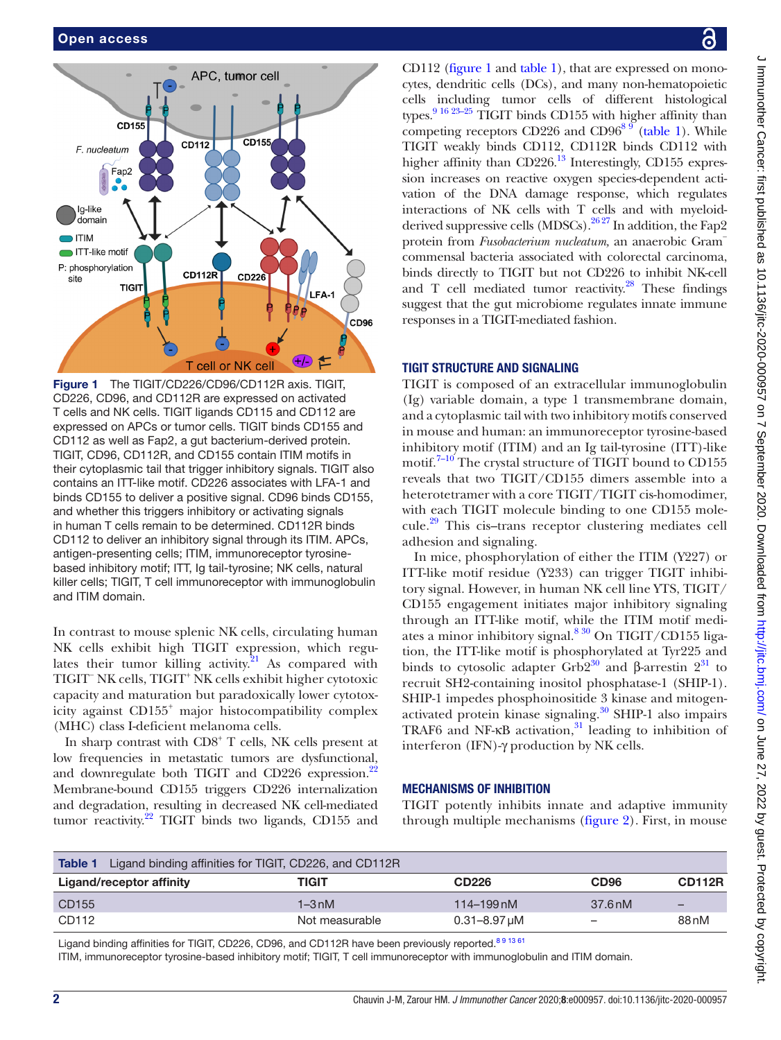

<span id="page-1-0"></span>Figure 1 The TIGIT/CD226/CD96/CD112R axis. TIGIT, CD226, CD96, and CD112R are expressed on activated T cells and NK cells. TIGIT ligands CD115 and CD112 are expressed on APCs or tumor cells. TIGIT binds CD155 and CD112 as well as Fap2, a gut bacterium-derived protein. TIGIT, CD96, CD112R, and CD155 contain ITIM motifs in their cytoplasmic tail that trigger inhibitory signals. TIGIT also contains an ITT-like motif. CD226 associates with LFA-1 and binds CD155 to deliver a positive signal. CD96 binds CD155, and whether this triggers inhibitory or activating signals in human T cells remain to be determined. CD112R binds CD112 to deliver an inhibitory signal through its ITIM. APCs, antigen-presenting cells; ITIM, immunoreceptor tyrosinebased inhibitory motif; ITT, Ig tail-tyrosine; NK cells, natural killer cells; TIGIT, T cell immunoreceptor with immunoglobulin and ITIM domain.

In contrast to mouse splenic NK cells, circulating human NK cells exhibit high TIGIT expression, which regulates their tumor killing activity. $21$  As compared with TIGIT<sup>−</sup> NK cells, TIGIT+ NK cells exhibit higher cytotoxic capacity and maturation but paradoxically lower cytotoxicity against CD155<sup>+</sup> major histocompatibility complex (MHC) class I-deficient melanoma cells.

In sharp contrast with CD8<sup>+</sup> T cells, NK cells present at low frequencies in metastatic tumors are dysfunctional, and downregulate both TIGIT and CD[22](#page-6-4)6 expression.<sup>22</sup> Membrane-bound CD155 triggers CD226 internalization and degradation, resulting in decreased NK cell-mediated tumor reactivity. $^{22}$  TIGIT binds two ligands, CD155 and

J Immunother Cancer: first published as 10.1136/jitc-2020-000957 on 7 September 2020. Downloaded from http://jitc.bmj.com/ on June 27, 2022 by guest. Protected by copyright J Immunother Cancer: Irist published as 10.1136/jitc-2020-000957 on 7 September 2020. Downloaded from <http://jitc.bmj.com/> on June 27, 2022 by guest. Protected by copyright.

CD112 ([figure](#page-1-0) 1 and [table](#page-1-1) 1), that are expressed on monocytes, dendritic cells (DCs), and many non-hematopoietic cells including tumor cells of different histological types.<sup>9 16 23-25</sup> TIGIT binds CD155 with higher affinity than competing receptors CD226 and CD96<sup>8 9</sup> ([table](#page-1-1) 1). While TIGIT weakly binds CD112, CD112R binds CD112 with higher affinity than CD226.<sup>[13](#page-6-5)</sup> Interestingly, CD155 expression increases on reactive oxygen species-dependent activation of the DNA damage response, which regulates interactions of NK cells with T cells and with myeloidderived suppressive cells (MDSCs).  $^{2627}$  In addition, the Fap2 protein from *Fusobacterium nucleatum,* an anaerobic Gram− commensal bacteria associated with colorectal carcinoma, binds directly to TIGIT but not CD226 to inhibit NK-cell and T cell mediated tumor reactivity. $28$  These findings suggest that the gut microbiome regulates innate immune responses in a TIGIT-mediated fashion.

# TIGIT STRUCTURE AND SIGNALING

TIGIT is composed of an extracellular immunoglobulin (Ig) variable domain, a type 1 transmembrane domain, and a cytoplasmic tail with two inhibitory motifs conserved in mouse and human: an immunoreceptor tyrosine-based inhibitory motif (ITIM) and an Ig tail-tyrosine (ITT)-like motif.<sup>7-10</sup> The crystal structure of TIGIT bound to CD155 reveals that two TIGIT/CD155 dimers assemble into a heterotetramer with a core TIGIT/TIGIT cis-homodimer, with each TIGIT molecule binding to one CD155 molecule.[29](#page-6-8) This cis–trans receptor clustering mediates cell adhesion and signaling.

In mice, phosphorylation of either the ITIM (Y227) or ITT-like motif residue (Y233) can trigger TIGIT inhibitory signal. However, in human NK cell line YTS, TIGIT/ CD155 engagement initiates major inhibitory signaling through an ITT-like motif, while the ITIM motif mediates a minor inhibitory signal. $830$  On TIGIT/CD155 ligation, the ITT-like motif is phosphorylated at Tyr225 and binds to cytosolic adapter Grb2<sup>[30](#page-6-9)</sup> and β-arrestin  $2^{31}$  to recruit SH2-containing inositol phosphatase-1 (SHIP-1). SHIP-1 impedes phosphoinositide 3 kinase and mitogenactivated protein kinase signaling.[30](#page-6-9) SHIP-1 also impairs TRAF6 and NF- $\kappa$ B activation,<sup>31</sup> leading to inhibition of interferon (IFN)-γ production by NK cells.

# MECHANISMS OF INHIBITION

TIGIT potently inhibits innate and adaptive immunity through multiple mechanisms [\(figure](#page-2-0) 2). First, in mouse

<span id="page-1-1"></span>

| Ligand binding affinities for TIGIT, CD226, and CD112R<br>Table 1 |                |                       |                  |                          |  |  |
|-------------------------------------------------------------------|----------------|-----------------------|------------------|--------------------------|--|--|
| Ligand/receptor affinity                                          | TIGIT          | <b>CD226</b>          | CD <sub>96</sub> | <b>CD112R</b>            |  |  |
| CD155                                                             | $1-3$ nM       | $114 - 199$ nM        | 37.6 nM          | $\overline{\phantom{0}}$ |  |  |
| CD112                                                             | Not measurable | $0.31 - 8.97 \,\mu M$ | -                | 88 <sub>nM</sub>         |  |  |

Ligand binding affinities for TIGIT, CD226, CD96, and CD112R have been previously reported.<sup>[8 9 13 61](#page-5-4)</sup>

ITIM, immunoreceptor tyrosine-based inhibitory motif; TIGIT, T cell immunoreceptor with immunoglobulin and ITIM domain.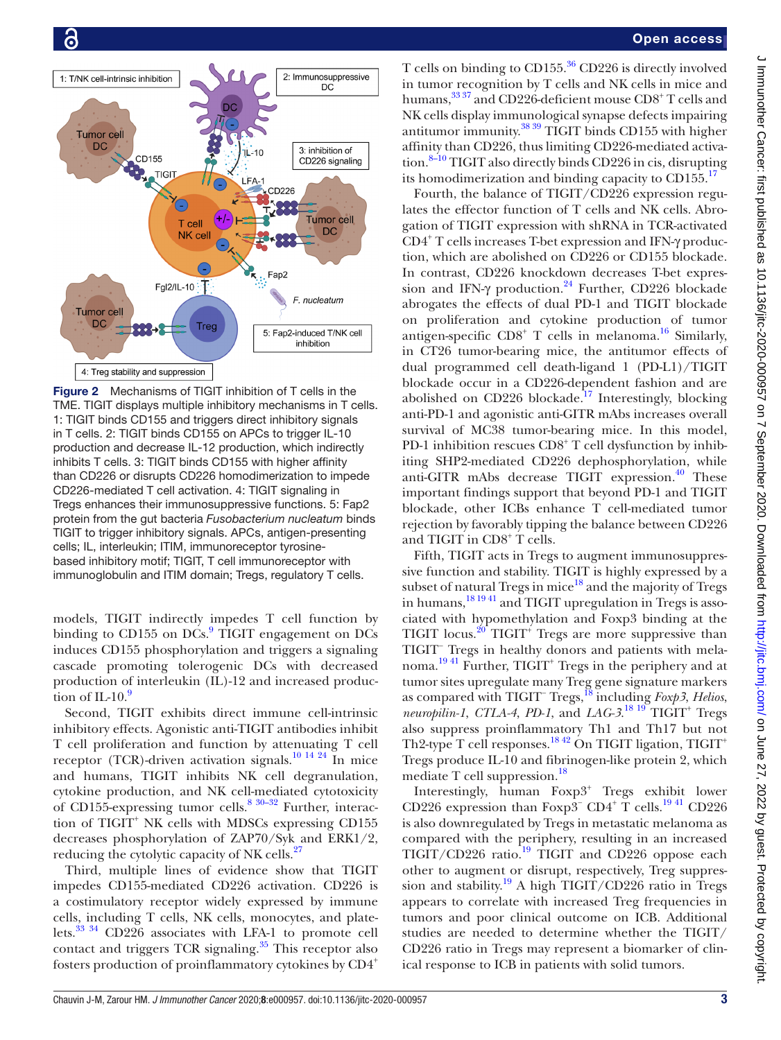

<span id="page-2-0"></span>Figure 2 Mechanisms of TIGIT inhibition of T cells in the TME. TIGIT displays multiple inhibitory mechanisms in T cells. 1: TIGIT binds CD155 and triggers direct inhibitory signals in T cells. 2: TIGIT binds CD155 on APCs to trigger IL-10 production and decrease IL-12 production, which indirectly inhibits T cells. 3: TIGIT binds CD155 with higher affinity than CD226 or disrupts CD226 homodimerization to impede CD226-mediated T cell activation. 4: TIGIT signaling in Tregs enhances their immunosuppressive functions. 5: Fap2 protein from the gut bacteria *Fusobacterium nucleatum* binds TIGIT to trigger inhibitory signals. APCs, antigen-presenting cells; IL, interleukin; ITIM, immunoreceptor tyrosinebased inhibitory motif; TIGIT, T cell immunoreceptor with immunoglobulin and ITIM domain; Tregs, regulatory T cells.

models, TIGIT indirectly impedes T cell function by binding to CD155 on DCs.<sup>[9](#page-5-6)</sup> TIGIT engagement on DCs induces CD155 phosphorylation and triggers a signaling cascade promoting tolerogenic DCs with decreased production of interleukin (IL)-12 and increased production of IL-10. $\degree$ 

Second, TIGIT exhibits direct immune cell-intrinsic inhibitory effects. Agonistic anti-TIGIT antibodies inhibit T cell proliferation and function by attenuating T cell receptor (TCR)-driven activation signals.<sup>[10 14 24](#page-5-5)</sup> In mice and humans, TIGIT inhibits NK cell degranulation, cytokine production, and NK cell-mediated cytotoxicity of CD155-expressing tumor cells.<sup>[8 30–32](#page-5-4)</sup> Further, interaction of TIGIT<sup>+</sup> NK cells with MDSCs expressing CD155 decreases phosphorylation of ZAP70/Syk and ERK1/2, reducing the cytolytic capacity of NK cells.<sup>[27](#page-6-11)</sup>

Third, multiple lines of evidence show that TIGIT impedes CD155-mediated CD226 activation. CD226 is a costimulatory receptor widely expressed by immune cells, including T cells, NK cells, monocytes, and platelets.[33 34](#page-6-12) CD226 associates with LFA-1 to promote cell contact and triggers TCR signaling. $35$  This receptor also fosters production of proinflammatory cytokines by CD4<sup>+</sup>

T cells on binding to  $CD155<sup>36</sup>CD226$  $CD155<sup>36</sup>CD226$  $CD155<sup>36</sup>CD226$  is directly involved in tumor recognition by T cells and NK cells in mice and humans,<sup>33 37</sup> and CD226-deficient mouse CD8<sup>+</sup> T cells and NK cells display immunological synapse defects impairing antitumor immunity[.38 39](#page-6-15) TIGIT binds CD155 with higher affinity than CD226, thus limiting CD226-mediated activation.[8–10](#page-5-4) TIGIT also directly binds CD226 in cis*,* disrupting its homodimerization and binding capacity to  $CD155<sup>17</sup>$ 

Fourth, the balance of TIGIT/CD226 expression regulates the effector function of T cells and NK cells. Abrogation of TIGIT expression with shRNA in TCR-activated CD4+ T cells increases T-bet expression and IFN-γ production, which are abolished on CD226 or CD155 blockade. In contrast, CD226 knockdown decreases T-bet expression and IFN- $\gamma$  production.<sup>24</sup> Further, CD226 blockade abrogates the effects of dual PD-1 and TIGIT blockade on proliferation and cytokine production of tumor antigen-specific  $CDS^+$  T cells in melanoma.<sup>[16](#page-6-0)</sup> Similarly, in CT26 tumor-bearing mice, the antitumor effects of dual programmed cell death-ligand 1 (PD-L1)/TIGIT blockade occur in a CD226-dependent fashion and are abolished on CD226 blockade.<sup>17</sup> Interestingly, blocking anti-PD-1 and agonistic anti-GITR mAbs increases overall survival of MC38 tumor-bearing mice. In this model, PD-1 inhibition rescues CD8<sup>+</sup> T cell dysfunction by inhibiting SHP2-mediated CD226 dephosphorylation, while anti-GITR mAbs decrease TIGIT expression. $40$  These important findings support that beyond PD-1 and TIGIT blockade, other ICBs enhance T cell-mediated tumor rejection by favorably tipping the balance between CD226 and TIGIT in CD8+ T cells.

Fifth, TIGIT acts in Tregs to augment immunosuppressive function and stability. TIGIT is highly expressed by a subset of natural Tregs in mice $^{18}$  and the majority of Tregs in humans,<sup>[18 19 41](#page-6-1)</sup> and TIGIT upregulation in Tregs is associated with hypomethylation and Foxp3 binding at the TIGIT locus.<sup>[20](#page-6-2)</sup> TIGIT<sup>+</sup> Tregs are more suppressive than TIGIT<sup>−</sup> Tregs in healthy donors and patients with melanoma.<sup>1941</sup> Further, TIGIT<sup>+</sup> Tregs in the periphery and at tumor sites upregulate many Treg gene signature markers as compared with TIGIT− Tregs[,18](#page-6-1) including *Foxp3*, *Helios*, neuropilin-1, CTLA-4, PD-1, and *LAG-3*.<sup>18 19</sup> TIGIT<sup>+</sup> Tregs also suppress proinflammatory Th1 and Th17 but not Th2-type T cell responses.<sup>[18 42](#page-6-1)</sup> On TIGIT ligation,  $TIGIT^+$ Tregs produce IL-10 and fibrinogen-like protein 2, which mediate T cell suppression. $18$ 

Interestingly, human Foxp3<sup>+</sup> Tregs exhibit lower CD226 expression than Foxp3<sup>-</sup> CD4<sup>+</sup> T cells.<sup>1941</sup> CD226 is also downregulated by Tregs in metastatic melanoma as compared with the periphery, resulting in an increased  $TIGIT/CD226$  ratio.<sup>19</sup> TIGIT and CD226 oppose each other to augment or disrupt, respectively, Treg suppres-sion and stability.<sup>[19](#page-6-19)</sup> A high TIGIT/CD226 ratio in Tregs appears to correlate with increased Treg frequencies in tumors and poor clinical outcome on ICB. Additional studies are needed to determine whether the TIGIT/ CD226 ratio in Tregs may represent a biomarker of clinical response to ICB in patients with solid tumors.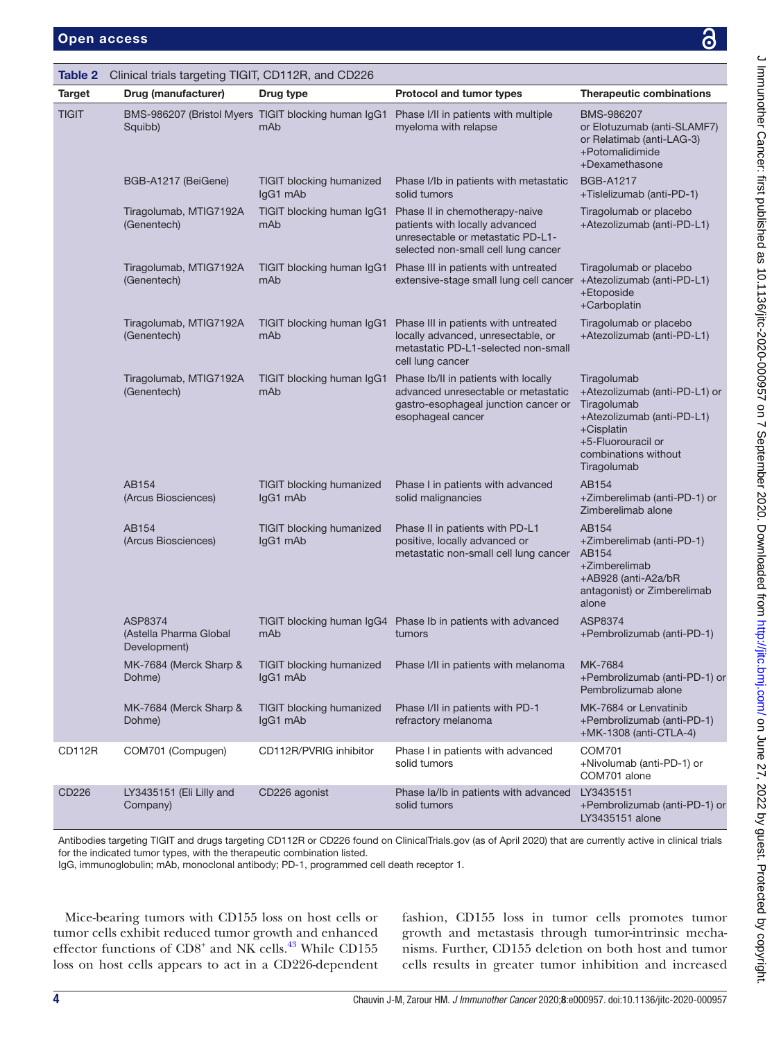<span id="page-3-0"></span>

| Table 2       | Clinical trials targeting TIGIT, CD112R, and CD226 |                                                            |                                                                                                                                              |                                                                                                                                                                      |  |  |  |
|---------------|----------------------------------------------------|------------------------------------------------------------|----------------------------------------------------------------------------------------------------------------------------------------------|----------------------------------------------------------------------------------------------------------------------------------------------------------------------|--|--|--|
| <b>Target</b> | Drug (manufacturer)                                | Drug type                                                  | Protocol and tumor types                                                                                                                     | <b>Therapeutic combinations</b>                                                                                                                                      |  |  |  |
| <b>TIGIT</b>  | Squibb)                                            | BMS-986207 (Bristol Myers TIGIT blocking human IgG1<br>mAb | Phase I/II in patients with multiple<br>myeloma with relapse                                                                                 | BMS-986207<br>or Elotuzumab (anti-SLAMF7)<br>or Relatimab (anti-LAG-3)<br>+Potomalidimide<br>+Dexamethasone                                                          |  |  |  |
|               | BGB-A1217 (BeiGene)                                | <b>TIGIT blocking humanized</b><br>IgG1 mAb                | Phase I/Ib in patients with metastatic<br>solid tumors                                                                                       | <b>BGB-A1217</b><br>+Tislelizumab (anti-PD-1)                                                                                                                        |  |  |  |
|               | Tiragolumab, MTIG7192A<br>(Genentech)              | TIGIT blocking human IgG1<br>mAb                           | Phase II in chemotherapy-naive<br>patients with locally advanced<br>unresectable or metastatic PD-L1-<br>selected non-small cell lung cancer | Tiragolumab or placebo<br>+Atezolizumab (anti-PD-L1)                                                                                                                 |  |  |  |
|               | Tiragolumab, MTIG7192A<br>(Genentech)              | TIGIT blocking human IgG1<br>mAb                           | Phase III in patients with untreated<br>extensive-stage small lung cell cancer                                                               | Tiragolumab or placebo<br>+Atezolizumab (anti-PD-L1)<br>+Etoposide<br>+Carboplatin                                                                                   |  |  |  |
|               | Tiragolumab, MTIG7192A<br>(Genentech)              | TIGIT blocking human IgG1<br>mAb                           | Phase III in patients with untreated<br>locally advanced, unresectable, or<br>metastatic PD-L1-selected non-small<br>cell lung cancer        | Tiragolumab or placebo<br>+Atezolizumab (anti-PD-L1)                                                                                                                 |  |  |  |
|               | Tiragolumab, MTIG7192A<br>(Genentech)              | TIGIT blocking human IgG1<br>mAb                           | Phase Ib/II in patients with locally<br>advanced unresectable or metastatic<br>gastro-esophageal junction cancer or<br>esophageal cancer     | Tiragolumab<br>+Atezolizumab (anti-PD-L1) or<br>Tiragolumab<br>+Atezolizumab (anti-PD-L1)<br>+Cisplatin<br>+5-Fluorouracil or<br>combinations without<br>Tiragolumab |  |  |  |
|               | AB154<br>(Arcus Biosciences)                       | <b>TIGIT blocking humanized</b><br>IgG1 mAb                | Phase I in patients with advanced<br>solid malignancies                                                                                      | AB154<br>+Zimberelimab (anti-PD-1) or<br>Zimberelimab alone                                                                                                          |  |  |  |
|               | AB154<br>(Arcus Biosciences)                       | <b>TIGIT blocking humanized</b><br>IgG1 mAb                | Phase II in patients with PD-L1<br>positive, locally advanced or<br>metastatic non-small cell lung cancer                                    | AB154<br>+Zimberelimab (anti-PD-1)<br>AB154<br>+Zimberelimab<br>+AB928 (anti-A2a/bR<br>antagonist) or Zimberelimab<br>alone                                          |  |  |  |
|               | ASP8374<br>(Astella Pharma Global<br>Development)  | mAb                                                        | TIGIT blocking human IgG4 Phase Ib in patients with advanced<br>tumors                                                                       | ASP8374<br>+Pembrolizumab (anti-PD-1)                                                                                                                                |  |  |  |
|               | MK-7684 (Merck Sharp &<br>Dohme)                   | <b>TIGIT</b> blocking humanized<br>IgG1 mAb                | Phase I/II in patients with melanoma                                                                                                         | MK-7684<br>+Pembrolizumab (anti-PD-1) or<br>Pembrolizumab alone                                                                                                      |  |  |  |
|               | MK-7684 (Merck Sharp &<br>Dohme)                   | <b>TIGIT blocking humanized</b><br>IgG1 mAb                | Phase I/II in patients with PD-1<br>refractory melanoma                                                                                      | MK-7684 or Lenvatinib<br>+Pembrolizumab (anti-PD-1)<br>+MK-1308 (anti-CTLA-4)                                                                                        |  |  |  |
| <b>CD112R</b> | COM701 (Compugen)                                  | CD112R/PVRIG inhibitor                                     | Phase I in patients with advanced<br>solid tumors                                                                                            | <b>COM701</b><br>+Nivolumab (anti-PD-1) or<br>COM701 alone                                                                                                           |  |  |  |
| CD226         | LY3435151 (Eli Lilly and<br>Company)               | CD226 agonist                                              | Phase Ia/Ib in patients with advanced<br>solid tumors                                                                                        | LY3435151<br>+Pembrolizumab (anti-PD-1) or<br>LY3435151 alone                                                                                                        |  |  |  |

Antibodies targeting TIGIT and drugs targeting CD112R or CD226 found on ClinicalTrials.gov (as of April 2020) that are currently active in clinical trials for the indicated tumor types, with the therapeutic combination listed.

IgG, immunoglobulin; mAb, monoclonal antibody; PD-1, programmed cell death receptor 1.

Mice-bearing tumors with CD155 loss on host cells or tumor cells exhibit reduced tumor growth and enhanced effector functions of CD8<sup>+</sup> and NK cells.<sup>[43](#page-6-20)</sup> While CD155 loss on host cells appears to act in a CD226-dependent

fashion, CD155 loss in tumor cells promotes tumor growth and metastasis through tumor-intrinsic mechanisms. Further, CD155 deletion on both host and tumor cells results in greater tumor inhibition and increased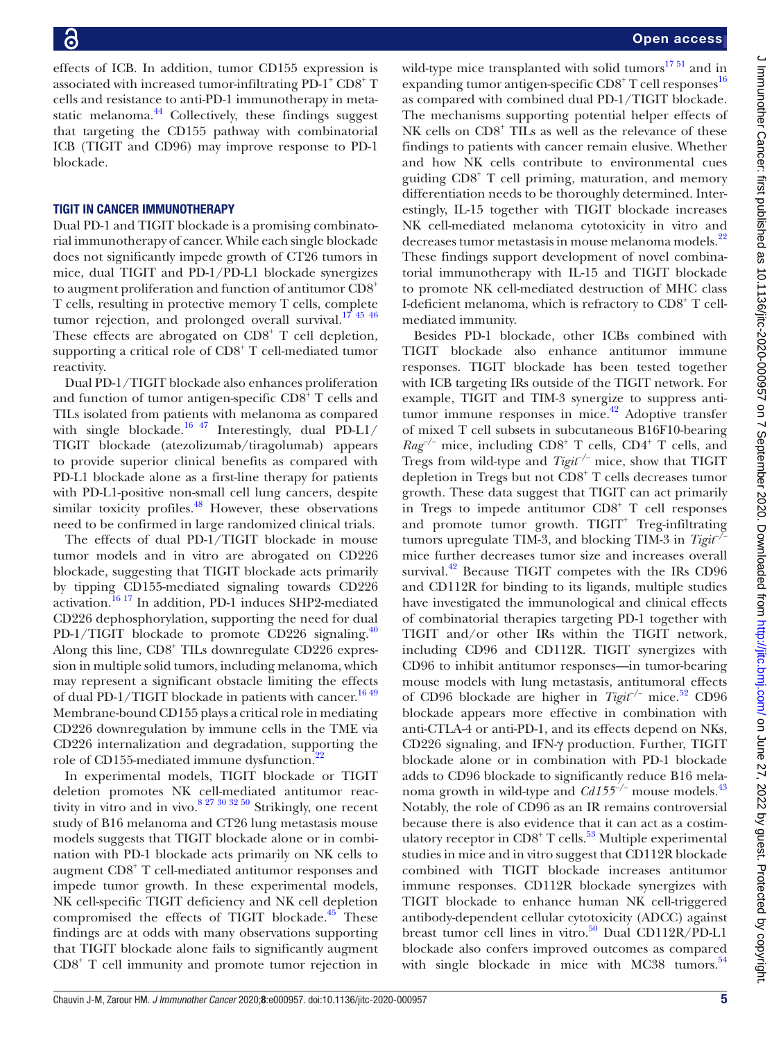effects of ICB. In addition, tumor CD155 expression is associated with increased tumor-infiltrating  $PD-1^+CD8^+T$ cells and resistance to anti-PD-1 immunotherapy in meta-static melanoma.<sup>[44](#page-6-21)</sup> Collectively, these findings suggest that targeting the CD155 pathway with combinatorial ICB (TIGIT and CD96) may improve response to PD-1 blockade.

# TIGIT IN CANCER IMMUNOTHERAPY

Dual PD-1 and TIGIT blockade is a promising combinatorial immunotherapy of cancer. While each single blockade does not significantly impede growth of CT26 tumors in mice, dual TIGIT and PD-1/PD-L1 blockade synergizes to augment proliferation and function of antitumor CD8+ T cells, resulting in protective memory T cells, complete tumor rejection, and prolonged overall survival.<sup>17 45</sup>  $46$ These effects are abrogated on  $CDS<sup>+</sup> T$  cell depletion, supporting a critical role of CD8<sup>+</sup> T cell-mediated tumor reactivity.

Dual PD-1/TIGIT blockade also enhances proliferation and function of tumor antigen-specific  $CDS<sup>3</sup>$  T cells and TILs isolated from patients with melanoma as compared with single blockade.<sup>16 47</sup> Interestingly, dual PD-L1/ TIGIT blockade (atezolizumab/tiragolumab) appears to provide superior clinical benefits as compared with PD-L1 blockade alone as a first-line therapy for patients with PD-L1-positive non-small cell lung cancers, despite similar toxicity profiles.<sup>48</sup> However, these observations need to be confirmed in large randomized clinical trials.

The effects of dual PD-1/TIGIT blockade in mouse tumor models and in vitro are abrogated on CD226 blockade, suggesting that TIGIT blockade acts primarily by tipping CD155-mediated signaling towards CD226 activation.[16 17](#page-6-0) In addition, PD-1 induces SHP2-mediated CD226 dephosphorylation, supporting the need for dual PD-1/TIGIT blockade to promote CD226 signaling. $40$ Along this line, CD8+ TILs downregulate CD226 expression in multiple solid tumors, including melanoma, which may represent a significant obstacle limiting the effects of dual PD-1/TIGIT blockade in patients with cancer.<sup>1649</sup> Membrane-bound CD155 plays a critical role in mediating CD226 downregulation by immune cells in the TME via CD226 internalization and degradation, supporting the role of CD155-mediated immune dysfunction.<sup>22</sup>

In experimental models, TIGIT blockade or TIGIT deletion promotes NK cell-mediated antitumor reactivity in vitro and in vivo.<sup>8 27 30 32 50</sup> Strikingly, one recent study of B16 melanoma and CT26 lung metastasis mouse models suggests that TIGIT blockade alone or in combination with PD-1 blockade acts primarily on NK cells to augment CD8<sup>+</sup> T cell-mediated antitumor responses and impede tumor growth. In these experimental models, NK cell-specific TIGIT deficiency and NK cell depletion compromised the effects of TIGIT blockade. $45$  These findings are at odds with many observations supporting that TIGIT blockade alone fails to significantly augment CD8<sup>+</sup> T cell immunity and promote tumor rejection in wild-type mice transplanted with solid tumors $17\frac{51}{12}$  and in expanding tumor antigen-specific CD8<sup>+</sup> T cell responses<sup>[16](#page-6-0)</sup> as compared with combined dual PD-1/TIGIT blockade. The mechanisms supporting potential helper effects of NK cells on CD8<sup>+</sup> TILs as well as the relevance of these findings to patients with cancer remain elusive. Whether and how NK cells contribute to environmental cues guiding CD8+ T cell priming, maturation, and memory differentiation needs to be thoroughly determined. Interestingly, IL-15 together with TIGIT blockade increases NK cell-mediated melanoma cytotoxicity in vitro and decreases tumor metastasis in mouse melanoma models.<sup>[22](#page-6-4)</sup> These findings support development of novel combinatorial immunotherapy with IL-15 and TIGIT blockade to promote NK cell-mediated destruction of MHC class I-deficient melanoma, which is refractory to CD8<sup>+</sup> T cellmediated immunity.

Besides PD-1 blockade, other ICBs combined with TIGIT blockade also enhance antitumor immune responses. TIGIT blockade has been tested together with ICB targeting IRs outside of the TIGIT network. For example, TIGIT and TIM-3 synergize to suppress anti-tumor immune responses in mice.<sup>[42](#page-6-24)</sup> Adoptive transfer of mixed T cell subsets in subcutaneous B16F10-bearing *Rag<sup>-/-</sup>* mice, including CD8<sup>+</sup> T cells, CD4<sup>+</sup> T cells, and Tregs from wild-type and *Tigit−/−* mice, show that TIGIT depletion in Tregs but not CD8<sup>+</sup> T cells decreases tumor growth. These data suggest that TIGIT can act primarily in Tregs to impede antitumor CD8<sup>+</sup> T cell responses and promote tumor growth. TIGIT<sup>+</sup> Treg-infiltrating tumors upregulate TIM-3, and blocking TIM-3 in *Tigit−/−* mice further decreases tumor size and increases overall survival.<sup>42</sup> Because TIGIT competes with the IRs CD96 and CD112R for binding to its ligands, multiple studies have investigated the immunological and clinical effects of combinatorial therapies targeting PD-1 together with TIGIT and/or other IRs within the TIGIT network, including CD96 and CD112R. TIGIT synergizes with CD96 to inhibit antitumor responses—in tumor-bearing mouse models with lung metastasis, antitumoral effects of CD96 blockade are higher in *Tigit−/−* mice.[52](#page-6-25) CD96 blockade appears more effective in combination with anti-CTLA-4 or anti-PD-1, and its effects depend on NKs, CD226 signaling, and IFN-γ production. Further, TIGIT blockade alone or in combination with PD-1 blockade adds to CD96 blockade to significantly reduce B16 melanoma growth in wild-type and *Cd155−/−* mouse models.[43](#page-6-20) Notably, the role of CD96 as an IR remains controversial because there is also evidence that it can act as a costim-ulatory receptor in CD8<sup>+</sup> T cells.<sup>[53](#page-6-26)</sup> Multiple experimental studies in mice and in vitro suggest that CD112R blockade combined with TIGIT blockade increases antitumor immune responses. CD112R blockade synergizes with TIGIT blockade to enhance human NK cell-triggered antibody-dependent cellular cytotoxicity (ADCC) against breast tumor cell lines in vitro.<sup>50</sup> Dual CD112R/PD-L1 blockade also confers improved outcomes as compared with single blockade in mice with MC38 tumors. $54$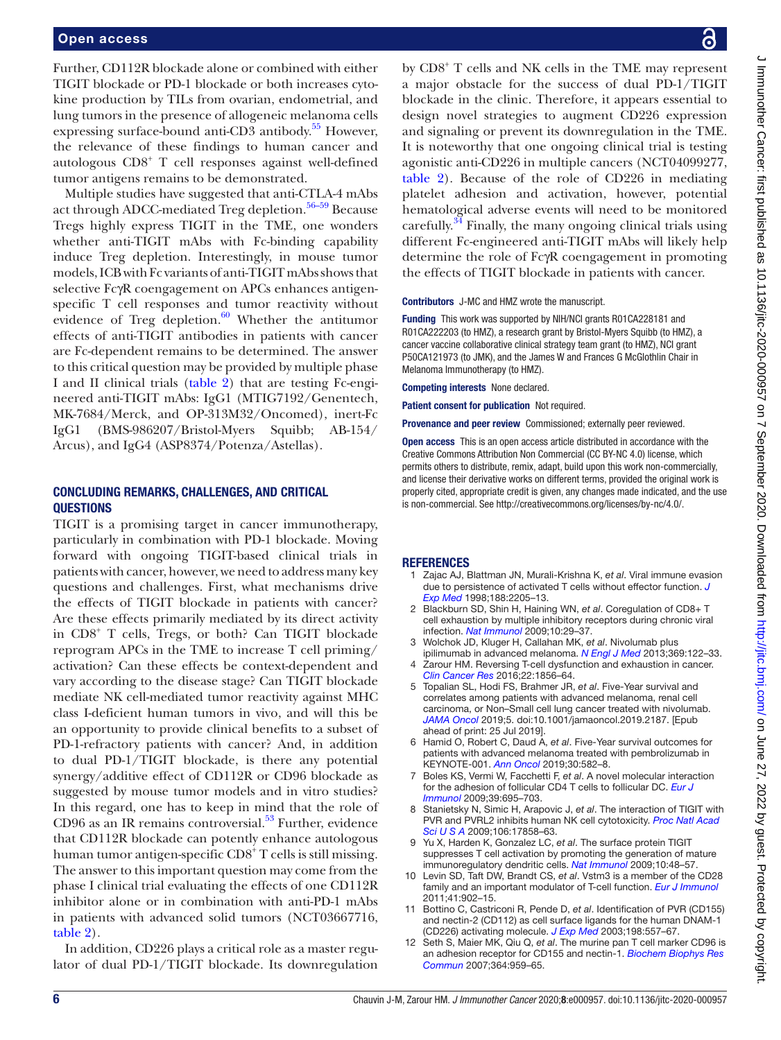Further, CD112R blockade alone or combined with either TIGIT blockade or PD-1 blockade or both increases cytokine production by TILs from ovarian, endometrial, and lung tumors in the presence of allogeneic melanoma cells expressing surface-bound anti-CD3 antibody. [55](#page-6-29) However, the relevance of these findings to human cancer and autologous CD8<sup>+</sup> T cell responses against well-defined tumor antigens remains to be demonstrated.

Multiple studies have suggested that anti-CTLA-4 mAbs act through ADCC-mediated Treg depletion.<sup>56–59</sup> Because Tregs highly express TIGIT in the TME, one wonders whether anti-TIGIT mAbs with Fc-binding capability induce Treg depletion. Interestingly, in mouse tumor models, ICB with Fc variants of anti-TIGIT mAbs shows that selective FcγR coengagement on APCs enhances antigenspecific T cell responses and tumor reactivity without evidence of Treg depletion. $60$  Whether the antitumor effects of anti-TIGIT antibodies in patients with cancer are Fc-dependent remains to be determined. The answer to this critical question may be provided by multiple phase I and II clinical trials [\(table](#page-3-0) 2) that are testing Fc-engineered anti-TIGIT mAbs: IgG1 (MTIG7192/Genentech, MK-7684/Merck, and OP-313M32/Oncomed), inert-Fc IgG1 (BMS-986207/Bristol-Myers Squibb; AB-154/ Arcus), and IgG4 (ASP8374/Potenza/Astellas).

## CONCLUDING REMARKS, CHALLENGES, AND CRITICAL QUESTIONS

TIGIT is a promising target in cancer immunotherapy, particularly in combination with PD-1 blockade. Moving forward with ongoing TIGIT-based clinical trials in patients with cancer, however, we need to address many key questions and challenges. First, what mechanisms drive the effects of TIGIT blockade in patients with cancer? Are these effects primarily mediated by its direct activity in CD8+ T cells, Tregs, or both? Can TIGIT blockade reprogram APCs in the TME to increase T cell priming/ activation? Can these effects be context-dependent and vary according to the disease stage? Can TIGIT blockade mediate NK cell-mediated tumor reactivity against MHC class I-deficient human tumors in vivo, and will this be an opportunity to provide clinical benefits to a subset of PD-1-refractory patients with cancer? And, in addition to dual PD-1/TIGIT blockade, is there any potential synergy/additive effect of CD112R or CD96 blockade as suggested by mouse tumor models and in vitro studies? In this regard, one has to keep in mind that the role of CD96 as an IR remains controversial. $5<sup>3</sup>$  Further, evidence that CD112R blockade can potently enhance autologous human tumor antigen-specific CD8<sup>+</sup> T cells is still missing. The answer to this important question may come from the phase I clinical trial evaluating the effects of one CD112R inhibitor alone or in combination with anti-PD-1 mAbs in patients with advanced solid tumors (NCT03667716, [table](#page-3-0) 2).

In addition, CD226 plays a critical role as a master regulator of dual PD-1/TIGIT blockade. Its downregulation by CD8<sup>+</sup> T cells and NK cells in the TME may represent a major obstacle for the success of dual PD-1/TIGIT blockade in the clinic. Therefore, it appears essential to design novel strategies to augment CD226 expression and signaling or prevent its downregulation in the TME. It is noteworthy that one ongoing clinical trial is testing agonistic anti-CD226 in multiple cancers (NCT04099277, [table](#page-3-0) 2). Because of the role of CD226 in mediating platelet adhesion and activation, however, potential hematological adverse events will need to be monitored carefully.<sup>34</sup> Finally, the many ongoing clinical trials using different Fc-engineered anti-TIGIT mAbs will likely help determine the role of FcγR coengagement in promoting the effects of TIGIT blockade in patients with cancer.

## Contributors J-MC and HMZ wrote the manuscript.

Funding This work was supported by NIH/NCI grants R01CA228181 and R01CA222203 (to HMZ), a research grant by Bristol-Myers Squibb (to HMZ), a cancer vaccine collaborative clinical strategy team grant (to HMZ), NCI grant P50CA121973 (to JMK), and the James W and Frances G McGlothlin Chair in Melanoma Immunotherapy (to HMZ).

Competing interests None declared.

Patient consent for publication Not required.

Provenance and peer review Commissioned; externally peer reviewed.

Open access This is an open access article distributed in accordance with the Creative Commons Attribution Non Commercial (CC BY-NC 4.0) license, which permits others to distribute, remix, adapt, build upon this work non-commercially, and license their derivative works on different terms, provided the original work is properly cited, appropriate credit is given, any changes made indicated, and the use is non-commercial. See <http://creativecommons.org/licenses/by-nc/4.0/>.

#### **REFERENCES**

- <span id="page-5-0"></span>1 Zajac AJ, Blattman JN, Murali-Krishna K, *et al*. Viral immune evasion due to persistence of activated T cells without effector function. *[J](http://dx.doi.org/10.1084/jem.188.12.2205)  [Exp Med](http://dx.doi.org/10.1084/jem.188.12.2205)* 1998;188:2205–13.
- 2 Blackburn SD, Shin H, Haining WN, *et al*. Coregulation of CD8+ T cell exhaustion by multiple inhibitory receptors during chronic viral infection. *[Nat Immunol](http://dx.doi.org/10.1038/ni.1679)* 2009;10:29–37.
- <span id="page-5-1"></span>3 Wolchok JD, Kluger H, Callahan MK, *et al*. Nivolumab plus ipilimumab in advanced melanoma. *[N Engl J Med](http://dx.doi.org/10.1056/NEJMoa1302369)* 2013;369:122–33.
- 4 Zarour HM. Reversing T-cell dysfunction and exhaustion in cancer. *[Clin Cancer Res](http://dx.doi.org/10.1158/1078-0432.CCR-15-1849)* 2016;22:1856–64.
- <span id="page-5-3"></span>5 Topalian SL, Hodi FS, Brahmer JR, *et al*. Five-Year survival and correlates among patients with advanced melanoma, renal cell carcinoma, or Non–Small cell lung cancer treated with nivolumab. *[JAMA Oncol](http://dx.doi.org/10.1001/jamaoncol.2019.2187)* 2019;5. doi:10.1001/jamaoncol.2019.2187. [Epub ahead of print: 25 Jul 2019].
- 6 Hamid O, Robert C, Daud A, *et al*. Five-Year survival outcomes for patients with advanced melanoma treated with pembrolizumab in KEYNOTE-001. *[Ann Oncol](http://dx.doi.org/10.1093/annonc/mdz011)* 2019;30:582–8.
- <span id="page-5-2"></span>7 Boles KS, Vermi W, Facchetti F, *et al*. A novel molecular interaction for the adhesion of follicular CD4 T cells to follicular DC. *[Eur J](http://dx.doi.org/10.1002/eji.200839116)  [Immunol](http://dx.doi.org/10.1002/eji.200839116)* 2009;39:695–703.
- <span id="page-5-4"></span>8 Stanietsky N, Simic H, Arapovic J, *et al*. The interaction of TIGIT with PVR and PVRL2 inhibits human NK cell cytotoxicity. *[Proc Natl Acad](http://dx.doi.org/10.1073/pnas.0903474106)  [Sci U S A](http://dx.doi.org/10.1073/pnas.0903474106)* 2009;106:17858–63.
- <span id="page-5-6"></span>Yu X, Harden K, Gonzalez LC, et al. The surface protein TIGIT suppresses T cell activation by promoting the generation of mature immunoregulatory dendritic cells. *[Nat Immunol](http://dx.doi.org/10.1038/ni.1674)* 2009;10:48–57.
- <span id="page-5-5"></span>10 Levin SD, Taft DW, Brandt CS, *et al*. Vstm3 is a member of the CD28 family and an important modulator of T-cell function. *[Eur J Immunol](http://dx.doi.org/10.1002/eji.201041136)* 2011;41:902–15.
- 11 Bottino C, Castriconi R, Pende D, *et al*. Identification of PVR (CD155) and nectin-2 (CD112) as cell surface ligands for the human DNAM-1 (CD226) activating molecule. *[J Exp Med](http://dx.doi.org/10.1084/jem.20030788)* 2003;198:557–67.
- 12 Seth S, Maier MK, Qiu Q, *et al*. The murine pan T cell marker CD96 is an adhesion receptor for CD155 and nectin-1. *[Biochem Biophys Res](http://dx.doi.org/10.1016/j.bbrc.2007.10.102)  [Commun](http://dx.doi.org/10.1016/j.bbrc.2007.10.102)* 2007;364:959–65.